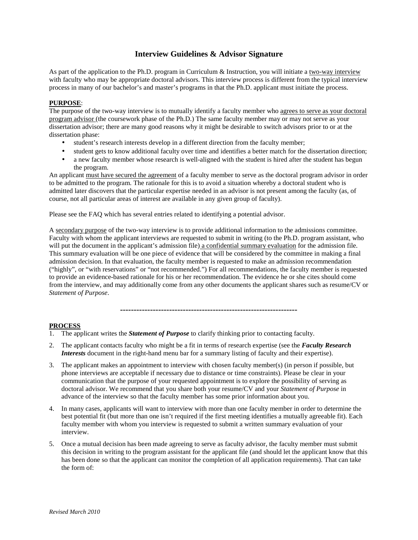# **Interview Guidelines & Advisor Signature**

As part of the application to the Ph.D. program in Curriculum & Instruction, you will initiate a two-way interview with faculty who may be appropriate doctoral advisors. This interview process is different from the typical interview process in many of our bachelor's and master's programs in that the Ph.D. applicant must initiate the process.

### **PURPOSE**:

The purpose of the two-way interview is to mutually identify a faculty member who agrees to serve as your doctoral program advisor (the coursework phase of the Ph.D.) The same faculty member may or may not serve as your dissertation advisor; there are many good reasons why it might be desirable to switch advisors prior to or at the dissertation phase:

- student's research interests develop in a different direction from the faculty member;
- student gets to know additional faculty over time and identifies a better match for the dissertation direction;
- a new faculty member whose research is well-aligned with the student is hired after the student has begun the program.

An applicant must have secured the agreement of a faculty member to serve as the doctoral program advisor in order to be admitted to the program. The rationale for this is to avoid a situation whereby a doctoral student who is admitted later discovers that the particular expertise needed in an advisor is not present among the faculty (as, of course, not all particular areas of interest are available in any given group of faculty).

Please see the FAQ which has several entries related to identifying a potential advisor.

A secondary purpose of the two-way interview is to provide additional information to the admissions committee. Faculty with whom the applicant interviews are requested to submit in writing (to the Ph.D. program assistant, who will put the document in the applicant's admission file) a confidential summary evaluation for the admission file. This summary evaluation will be one piece of evidence that will be considered by the committee in making a final admission decision. In that evaluation, the faculty member is requested to make an admission recommendation ("highly", or "with reservations" or "not recommended.") For all recommendations, the faculty member is requested to provide an evidence-based rationale for his or her recommendation. The evidence he or she cites should come from the interview, and may additionally come from any other documents the applicant shares such as resume/CV or *Statement of Purpose*.

**-----------------------------------------------------------------**

#### **PROCESS**

- 1. The applicant writes the *Statement of Purpose* to clarify thinking prior to contacting faculty.
- 2. The applicant contacts faculty who might be a fit in terms of research expertise (see the *Faculty Research Interests* document in the right-hand menu bar for a summary listing of faculty and their expertise).
- 3. The applicant makes an appointment to interview with chosen faculty member(s) (in person if possible, but phone interviews are acceptable if necessary due to distance or time constraints). Please be clear in your communication that the purpose of your requested appointment is to explore the possibility of serving as doctoral advisor. We recommend that you share both your resume/CV and your *Statement of Purpose* in advance of the interview so that the faculty member has some prior information about you.
- 4. In many cases, applicants will want to interview with more than one faculty member in order to determine the best potential fit (but more than one isn't required if the first meeting identifies a mutually agreeable fit). Each faculty member with whom you interview is requested to submit a written summary evaluation of your interview.
- 5. Once a mutual decision has been made agreeing to serve as faculty advisor, the faculty member must submit this decision in writing to the program assistant for the applicant file (and should let the applicant know that this has been done so that the applicant can monitor the completion of all application requirements). That can take the form of: